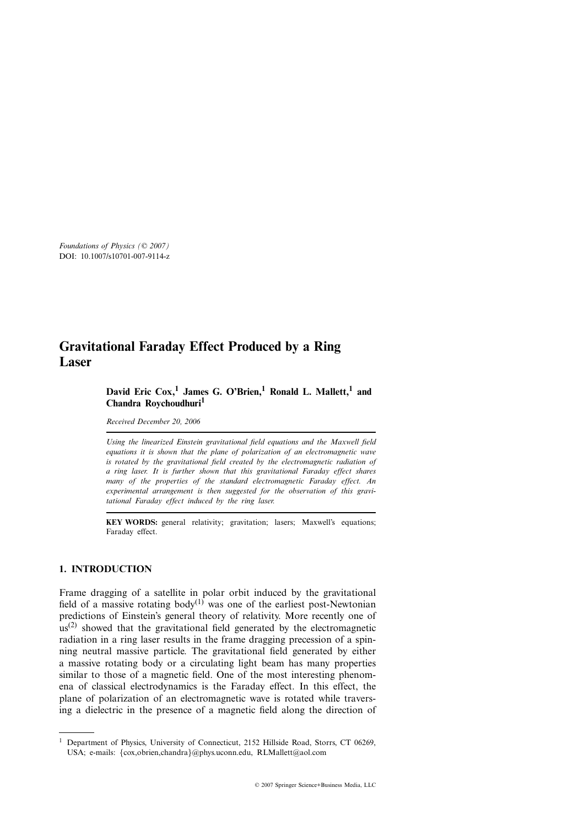# **Gravitational Faraday Effect Produced by a Ring Laser**

# **David Eric Cox,<sup>1</sup> James G. O'Brien,<sup>1</sup> Ronald L. Mallett,<sup>1</sup> and Chandra Roychoudhuri<sup>1</sup>**

*Received December 20, 2006*

*Using the linearized Einstein gravitational field equations and the Maxwell field equations it is shown that the plane of polarization of an electromagnetic wave is rotated by the gravitational field created by the electromagnetic radiation of a ring laser. It is further shown that this gravitational Faraday effect shares many of the properties of the standard electromagnetic Faraday effect. An experimental arrangement is then suggested for the observation of this gravitational Faraday effect induced by the ring laser.*

**KEY WORDS:** general relativity; gravitation; lasers; Maxwell's equations; Faraday effect.

# **1. INTRODUCTION**

Frame dragging of a satellite in polar orbit induced by the gravitational field of a massive rotating body<sup>(1)</sup> was one of the earliest post-Newtonian predictions of Einstein's general theory of relativity. More recently one of  $\mu$ s(2) showed that the gravitational field generated by the electromagnetic radiation in a ring laser results in the frame dragging precession of a spinning neutral massive particle. The gravitational field generated by either a massive rotating body or a circulating light beam has many properties similar to those of a magnetic field. One of the most interesting phenomena of classical electrodynamics is the Faraday effect. In this effect, the plane of polarization of an electromagnetic wave is rotated while traversing a dielectric in the presence of a magnetic field along the direction of

<sup>&</sup>lt;sup>1</sup> Department of Physics, University of Connecticut, 2152 Hillside Road, Storrs, CT 06269, USA; e-mails: {cox,obrien,chandra}@phys.uconn.edu, RLMallett@aol.com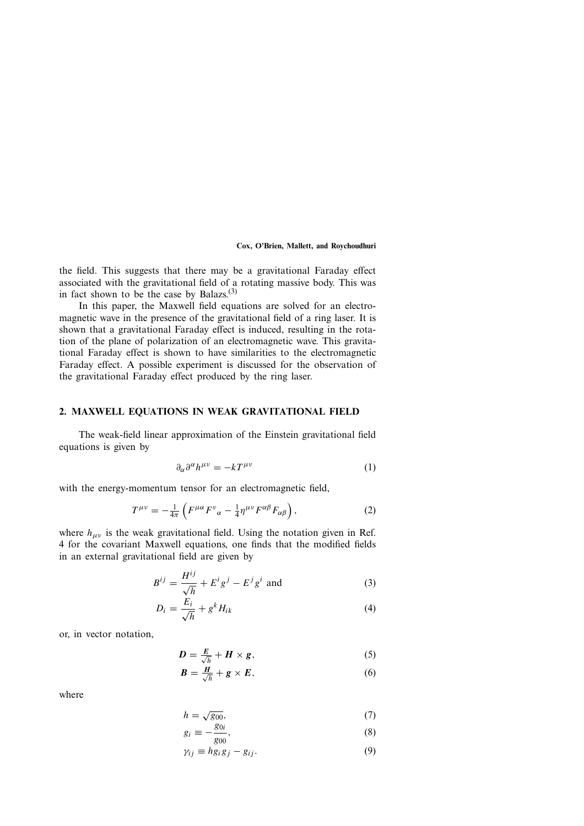the field. This suggests that there may be a gravitational Faraday effect associated with the gravitational field of a rotating massive body. This was in fact shown to be the case by Balazs. $(3)$ 

In this paper, the Maxwell field equations are solved for an electromagnetic wave in the presence of the gravitational field of a ring laser. It is shown that a gravitational Faraday effect is induced, resulting in the rotation of the plane of polarization of an electromagnetic wave. This gravitational Faraday effect is shown to have similarities to the electromagnetic Faraday effect. A possible experiment is discussed for the observation of the gravitational Faraday effect produced by the ring laser.

# **2. MAXWELL EQUATIONS IN WEAK GRAVITATIONAL FIELD**

The weak-field linear approximation of the Einstein gravitational field equations is given by

$$
\partial_{\alpha}\partial^{\alpha}h^{\mu\nu} = -kT^{\mu\nu} \tag{1}
$$

with the energy-momentum tensor for an electromagnetic field,

$$
T^{\mu\nu} = -\frac{1}{4\pi} \left( F^{\mu\alpha} F^{\nu}{}_{\alpha} - \frac{1}{4} \eta^{\mu\nu} F^{\alpha\beta} F_{\alpha\beta} \right), \tag{2}
$$

where  $h_{\mu\nu}$  is the weak gravitational field. Using the notation given in Ref. 4 for the covariant Maxwell equations, one finds that the modified fields in an external gravitational field are given by

$$
B^{ij} = \frac{H^{ij}}{\sqrt{h}} + E^i g^j - E^j g^i
$$
 and (3)

$$
D_i = \frac{E_i}{\sqrt{h}} + g^k H_{ik} \tag{4}
$$

or, in vector notation,

$$
D = \frac{E}{\sqrt{h}} + H \times g,\tag{5}
$$

$$
B = \frac{H}{\sqrt{h}} + g \times E, \tag{6}
$$

where

$$
h = \sqrt{g_{00}},\tag{7}
$$

$$
g_i \equiv -\frac{g_{0i}}{g_{00}},\tag{8}
$$

$$
\gamma_{ij} \equiv h g_i g_j - g_{ij}.\tag{9}
$$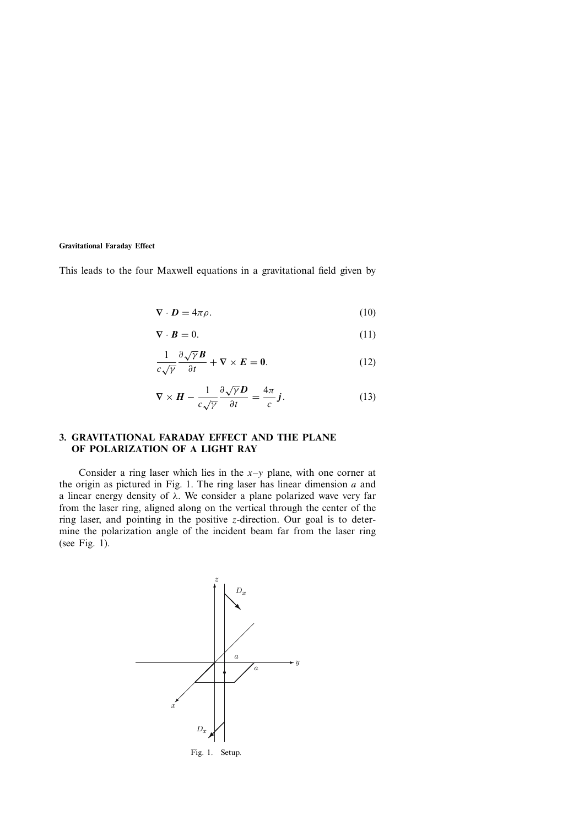This leads to the four Maxwell equations in a gravitational field given by

$$
\nabla \cdot \mathbf{D} = 4\pi \rho. \tag{10}
$$

$$
\nabla \cdot \boldsymbol{B} = 0. \tag{11}
$$

$$
\frac{1}{c\sqrt{\gamma}}\frac{\partial\sqrt{\gamma}\mathbf{B}}{\partial t} + \nabla \times \mathbf{E} = \mathbf{0}.\tag{12}
$$

$$
\nabla \times \boldsymbol{H} - \frac{1}{c\sqrt{\gamma}} \frac{\partial \sqrt{\gamma} \boldsymbol{D}}{\partial t} = \frac{4\pi}{c} \boldsymbol{j}.
$$
 (13)

# **3. GRAVITATIONAL FARADAY EFFECT AND THE PLANE OF POLARIZATION OF A LIGHT RAY**

Consider a ring laser which lies in the  $x-y$  plane, with one corner at the origin as pictured in Fig. 1. The ring laser has linear dimension  $a$  and a linear energy density of  $\lambda$ . We consider a plane polarized wave very far from the laser ring, aligned along on the vertical through the center of the ring laser, and pointing in the positive  $z$ -direction. Our goal is to determine the polarization angle of the incident beam far from the laser ring (see Fig. 1).



Fig. 1. Setup.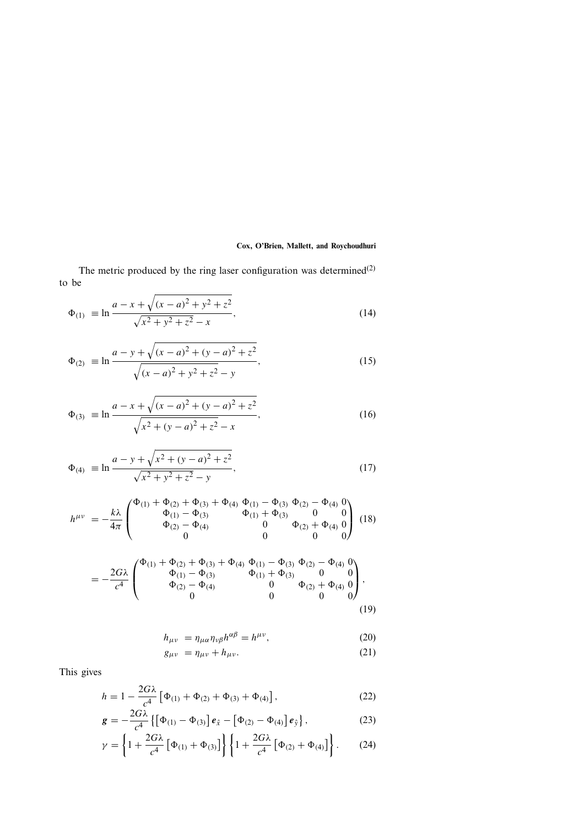The metric produced by the ring laser configuration was determined<sup>(2)</sup> to be

$$
\Phi_{(1)} = \ln \frac{a - x + \sqrt{(x - a)^2 + y^2 + z^2}}{\sqrt{x^2 + y^2 + z^2} - x},
$$
\n(14)

$$
\Phi_{(2)} = \ln \frac{a - y + \sqrt{(x - a)^2 + (y - a)^2 + z^2}}{\sqrt{(x - a)^2 + y^2 + z^2} - y},
$$
\n(15)

$$
\Phi_{(3)} \equiv \ln \frac{a - x + \sqrt{(x - a)^2 + (y - a)^2 + z^2}}{\sqrt{x^2 + (y - a)^2 + z^2} - x},
$$
\n(16)

$$
\Phi_{(4)} = \ln \frac{a - y + \sqrt{x^2 + (y - a)^2 + z^2}}{\sqrt{x^2 + y^2 + z^2} - y},
$$
\n(17)

$$
h^{\mu\nu} = -\frac{k\lambda}{4\pi} \begin{pmatrix} \Phi_{(1)} + \Phi_{(2)} + \Phi_{(3)} + \Phi_{(4)} & \Phi_{(1)} - \Phi_{(3)} & \Phi_{(2)} - \Phi_{(4)} & 0 \\ \Phi_{(1)} - \Phi_{(3)} & \Phi_{(1)} + \Phi_{(3)} & 0 & 0 \\ \Phi_{(2)} - \Phi_{(4)} & 0 & \Phi_{(2)} + \Phi_{(4)} & 0 \\ 0 & 0 & 0 & 0 \end{pmatrix} (18)
$$

$$
=-\frac{2G\lambda}{c^4}\begin{pmatrix} \Phi_{(1)} + \Phi_{(2)} + \Phi_{(3)} + \Phi_{(4)} & \Phi_{(1)} - \Phi_{(3)} & \Phi_{(2)} - \Phi_{(4)} & 0 \\ \Phi_{(1)} - \Phi_{(3)} & \Phi_{(1)} + \Phi_{(3)} & 0 & 0 \\ \Phi_{(2)} - \Phi_{(4)} & 0 & \Phi_{(2)} + \Phi_{(4)} & 0 \\ 0 & 0 & 0 & 0 \end{pmatrix},
$$
\n(19)

$$
h_{\mu\nu} = \eta_{\mu\alpha}\eta_{\nu\beta}h^{\alpha\beta} = h^{\mu\nu},\tag{20}
$$

$$
g_{\mu\nu} = \eta_{\mu\nu} + h_{\mu\nu}.
$$
 (21)

This gives

$$
h = 1 - \frac{2G\lambda}{c^4} \left[ \Phi_{(1)} + \Phi_{(2)} + \Phi_{(3)} + \Phi_{(4)} \right],
$$
 (22)

$$
\mathbf{g} = -\frac{2G\lambda}{c^4} \left\{ \left[ \Phi_{(1)} - \Phi_{(3)} \right] \mathbf{e}_{\hat{x}} - \left[ \Phi_{(2)} - \Phi_{(4)} \right] \mathbf{e}_{\hat{y}} \right\},\tag{23}
$$

$$
\gamma = \left\{ 1 + \frac{2G\lambda}{c^4} \left[ \Phi_{(1)} + \Phi_{(3)} \right] \right\} \left\{ 1 + \frac{2G\lambda}{c^4} \left[ \Phi_{(2)} + \Phi_{(4)} \right] \right\}.
$$
 (24)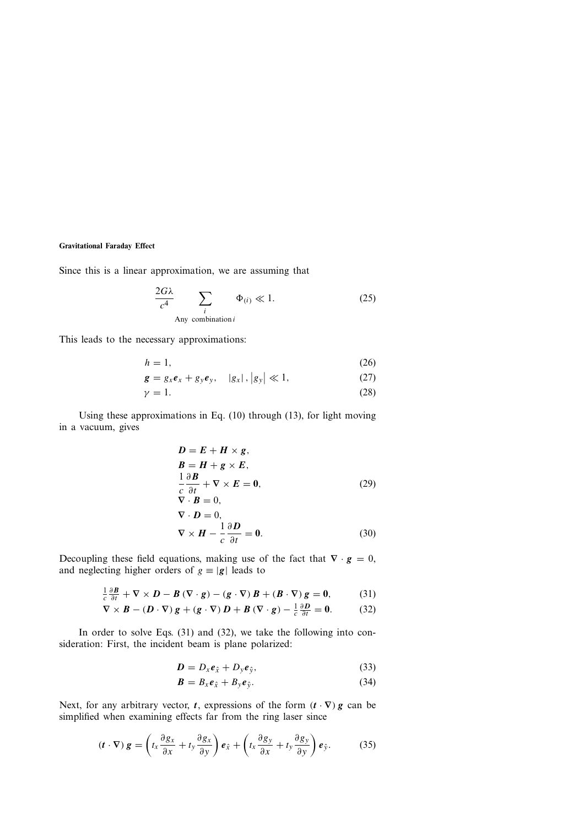Since this is a linear approximation, we are assuming that

$$
\frac{2G\lambda}{c^4} \sum_{\substack{i\\ \text{Any combination } i}} \Phi_{(i)} \ll 1. \tag{25}
$$

This leads to the necessary approximations:

$$
h = 1,\t\t(26)
$$

$$
\mathbf{g} = g_x \mathbf{e}_x + g_y \mathbf{e}_y, \quad |g_x|, |g_y| \ll 1,
$$
 (27)

$$
\gamma = 1. \tag{28}
$$

Using these approximations in Eq. (10) through (13), for light moving in a vacuum, gives

$$
D = E + H \times g,
$$
  
\n
$$
B = H + g \times E,
$$
  
\n
$$
\frac{1}{c} \frac{\partial B}{\partial t} + \nabla \times E = 0,
$$
  
\n
$$
\nabla \cdot B = 0,
$$
  
\n
$$
\nabla \cdot D = 0,
$$
  
\n
$$
\nabla \times H - \frac{1}{c} \frac{\partial D}{\partial t} = 0.
$$
\n(30)

Decoupling these field equations, making use of the fact that  $\nabla \cdot \mathbf{g} = 0$ , and neglecting higher orders of  $g \equiv |g|$  leads to

$$
\frac{1}{c}\frac{\partial \boldsymbol{B}}{\partial t} + \nabla \times \boldsymbol{D} - \boldsymbol{B} (\nabla \cdot \boldsymbol{g}) - (\boldsymbol{g} \cdot \nabla) \boldsymbol{B} + (\boldsymbol{B} \cdot \nabla) \boldsymbol{g} = 0, \tag{31}
$$

$$
\nabla \times \boldsymbol{B} - (\boldsymbol{D} \cdot \nabla) \boldsymbol{g} + (\boldsymbol{g} \cdot \nabla) \boldsymbol{D} + \boldsymbol{B} (\nabla \cdot \boldsymbol{g}) - \frac{1}{c} \frac{\partial \boldsymbol{D}}{\partial t} = \boldsymbol{0}.
$$
 (32)

In order to solve Eqs. (31) and (32), we take the following into consideration: First, the incident beam is plane polarized:

$$
D = D_x e_{\hat{x}} + D_y e_{\hat{y}}, \tag{33}
$$

$$
\boldsymbol{B} = B_x \boldsymbol{e}_{\hat{x}} + B_y \boldsymbol{e}_{\hat{y}}.
$$
 (34)

Next, for any arbitrary vector, *t*, expressions of the form  $(t \cdot \nabla)$  *g* can be simplified when examining effects far from the ring laser since

$$
(\boldsymbol{t} \cdot \nabla) \boldsymbol{g} = \left( t_x \frac{\partial g_x}{\partial x} + t_y \frac{\partial g_x}{\partial y} \right) \boldsymbol{e}_{\hat{x}} + \left( t_x \frac{\partial g_y}{\partial x} + t_y \frac{\partial g_y}{\partial y} \right) \boldsymbol{e}_{\hat{y}}.
$$
 (35)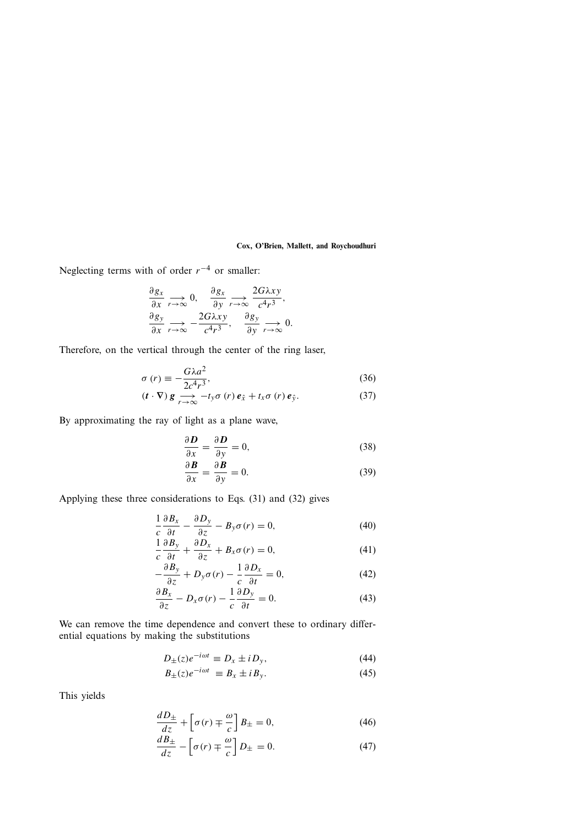Neglecting terms with of order  $r^{-4}$  or smaller:

$$
\frac{\partial g_x}{\partial x} \underset{r \to \infty}{\longrightarrow} 0, \quad \frac{\partial g_x}{\partial y} \underset{r \to \infty}{\longrightarrow} \frac{2G\lambda xy}{c^4 r^3}, \n\frac{\partial g_y}{\partial x} \underset{r \to \infty}{\longrightarrow} -\frac{2G\lambda xy}{c^4 r^3}, \quad \frac{\partial g_y}{\partial y} \underset{r \to \infty}{\longrightarrow} 0.
$$

Therefore, on the vertical through the center of the ring laser,

$$
\sigma(r) \equiv -\frac{G\lambda a^2}{2c^4r^3},\tag{36}
$$

$$
(\boldsymbol{t} \cdot \nabla) \boldsymbol{g} \underset{r \to \infty}{\longrightarrow} -t_{y} \sigma \left(r\right) \boldsymbol{e}_{\hat{x}} + t_{x} \sigma \left(r\right) \boldsymbol{e}_{\hat{y}}.
$$
 (37)

By approximating the ray of light as a plane wave,

$$
\frac{\partial \mathbf{D}}{\partial x} = \frac{\partial \mathbf{D}}{\partial y} = 0,\tag{38}
$$

$$
\frac{\partial \mathbf{B}}{\partial x} = \frac{\partial \mathbf{B}}{\partial y} = 0.
$$
 (39)

Applying these three considerations to Eqs. (31) and (32) gives

$$
\frac{1}{c}\frac{\partial B_x}{\partial t} - \frac{\partial D_y}{\partial z} - B_y \sigma(r) = 0, \tag{40}
$$

$$
\frac{1}{c}\frac{\partial B_y}{\partial t} + \frac{\partial D_x}{\partial z} + B_x \sigma(r) = 0,\tag{41}
$$

$$
-\frac{\partial B_y}{\partial z} + D_y \sigma(r) - \frac{1}{c} \frac{\partial D_x}{\partial t} = 0, \tag{42}
$$

$$
\frac{\partial B_x}{\partial z} - D_x \sigma(r) - \frac{1}{c} \frac{\partial D_y}{\partial t} = 0.
$$
 (43)

We can remove the time dependence and convert these to ordinary differential equations by making the substitutions

$$
D_{\pm}(z)e^{-i\omega t} \equiv D_x \pm i D_y,\tag{44}
$$

$$
B_{\pm}(z)e^{-i\omega t} \equiv B_x \pm iB_y. \tag{45}
$$

This yields

$$
\frac{dD_{\pm}}{dz} + \left[\sigma(r) \mp \frac{\omega}{c}\right] B_{\pm} = 0,\tag{46}
$$

$$
\frac{dB_{\pm}}{dz} - \left[\sigma(r) \mp \frac{\omega}{c}\right]D_{\pm} = 0.
$$
 (47)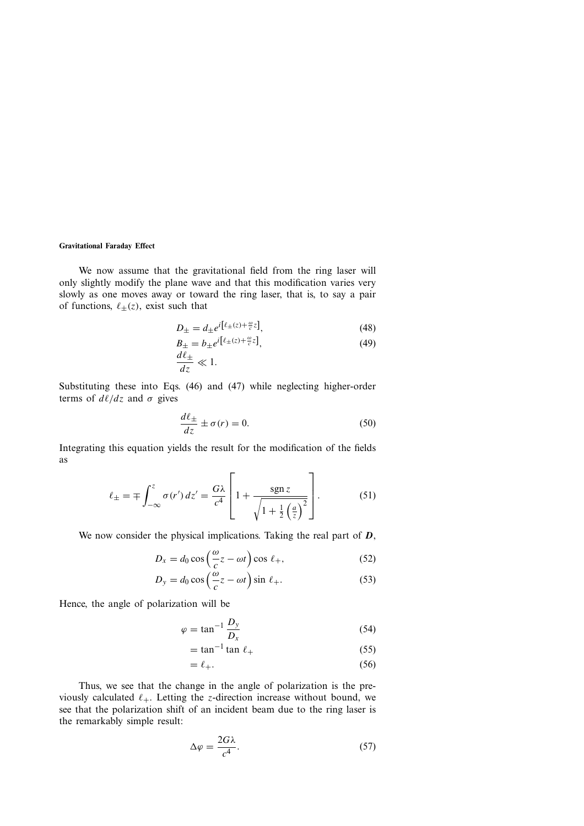We now assume that the gravitational field from the ring laser will only slightly modify the plane wave and that this modification varies very slowly as one moves away or toward the ring laser, that is, to say a pair of functions,  $\ell_{\pm}(z)$ , exist such that

$$
D_{\pm} = d_{\pm} e^{i\left[\ell_{\pm}(z) + \frac{\omega}{c}z\right]},\tag{48}
$$

$$
B_{\pm} = b_{\pm} e^{i\left[\ell_{\pm}(z) + \frac{\omega}{c}z\right]},\tag{49}
$$

$$
\frac{d\ell_{\pm}}{dz} \ll 1.
$$

Substituting these into Eqs. (46) and (47) while neglecting higher-order terms of  $d\ell/dz$  and  $\sigma$  gives

$$
\frac{d\ell_{\pm}}{dz} \pm \sigma(r) = 0.
$$
 (50)

Integrating this equation yields the result for the modification of the fields as

$$
\ell_{\pm} = \mp \int_{-\infty}^{z} \sigma(r') dz' = \frac{G\lambda}{c^4} \left[ 1 + \frac{\text{sgn} z}{\sqrt{1 + \frac{1}{2} \left(\frac{a}{z}\right)^2}} \right].
$$
 (51)

We now consider the physical implications. Taking the real part of *D*,

$$
D_x = d_0 \cos\left(\frac{\omega}{c}z - \omega t\right) \cos \ell_+, \tag{52}
$$

$$
D_y = d_0 \cos\left(\frac{\omega}{c}z - \omega t\right) \sin \ell_+.
$$
 (53)

Hence, the angle of polarization will be

$$
\varphi = \tan^{-1} \frac{D_y}{D_x} \tag{54}
$$

$$
= \tan^{-1} \tan \ell_+ \tag{55}
$$

$$
= \ell_+.\tag{56}
$$

Thus, we see that the change in the angle of polarization is the previously calculated  $\ell_+$ . Letting the *z*-direction increase without bound, we see that the polarization shift of an incident beam due to the ring laser is the remarkably simple result:

$$
\Delta \varphi = \frac{2G\lambda}{c^4}.\tag{57}
$$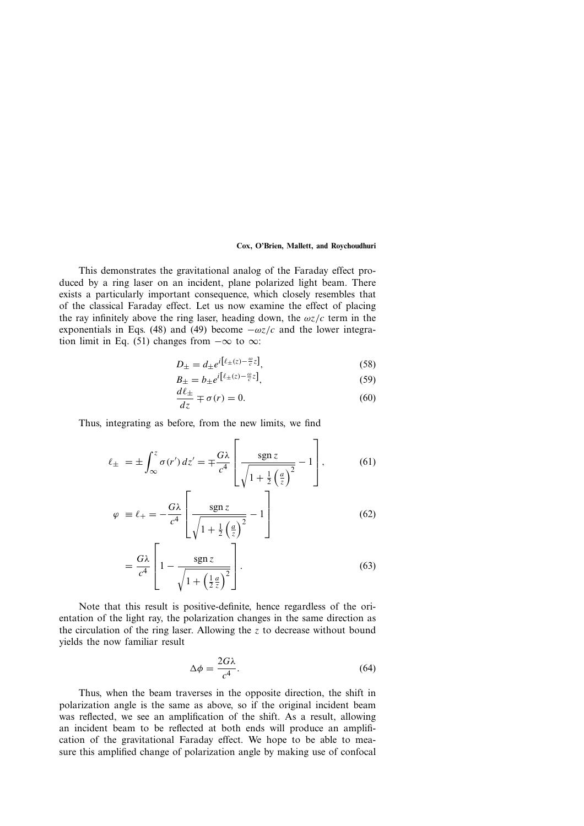This demonstrates the gravitational analog of the Faraday effect produced by a ring laser on an incident, plane polarized light beam. There exists a particularly important consequence, which closely resembles that of the classical Faraday effect. Let us now examine the effect of placing the ray infinitely above the ring laser, heading down, the  $\omega z/c$  term in the exponentials in Eqs. (48) and (49) become  $-\omega z/c$  and the lower integration limit in Eq. (51) changes from  $-\infty$  to  $\infty$ :

$$
D_{\pm} = d_{\pm} e^{i\left[\ell_{\pm}(z) - \frac{\omega}{c}z\right]},\tag{58}
$$

$$
B_{\pm} = b_{\pm} e^{i\left[\ell_{\pm}(z) - \frac{\omega}{c}z\right]},\tag{59}
$$

$$
\frac{d\ell_{\pm}}{dz} \mp \sigma(r) = 0.
$$
 (60)

Thus, integrating as before, from the new limits, we find

$$
\ell_{\pm} = \pm \int_{\infty}^{z} \sigma(r') dz' = \mp \frac{G\lambda}{c^4} \left[ \frac{\operatorname{sgn} z}{\sqrt{1 + \frac{1}{2} \left( \frac{a}{z} \right)^2}} - 1 \right],\tag{61}
$$

$$
\varphi \equiv \ell_{+} = -\frac{G\lambda}{c^4} \left[ \frac{\operatorname{sgn} z}{\sqrt{1 + \frac{1}{2} \left( \frac{a}{z} \right)^2}} - 1 \right]
$$
(62)

$$
= \frac{G\lambda}{c^4} \left[ 1 - \frac{\operatorname{sgn} z}{\sqrt{1 + \left(\frac{1}{2}\frac{a}{z}\right)^2}} \right].
$$
 (63)

Note that this result is positive-definite, hence regardless of the orientation of the light ray, the polarization changes in the same direction as the circulation of the ring laser. Allowing the z to decrease without bound yields the now familiar result

$$
\Delta \phi = \frac{2G\lambda}{c^4}.\tag{64}
$$

Thus, when the beam traverses in the opposite direction, the shift in polarization angle is the same as above, so if the original incident beam was reflected, we see an amplification of the shift. As a result, allowing an incident beam to be reflected at both ends will produce an amplification of the gravitational Faraday effect. We hope to be able to measure this amplified change of polarization angle by making use of confocal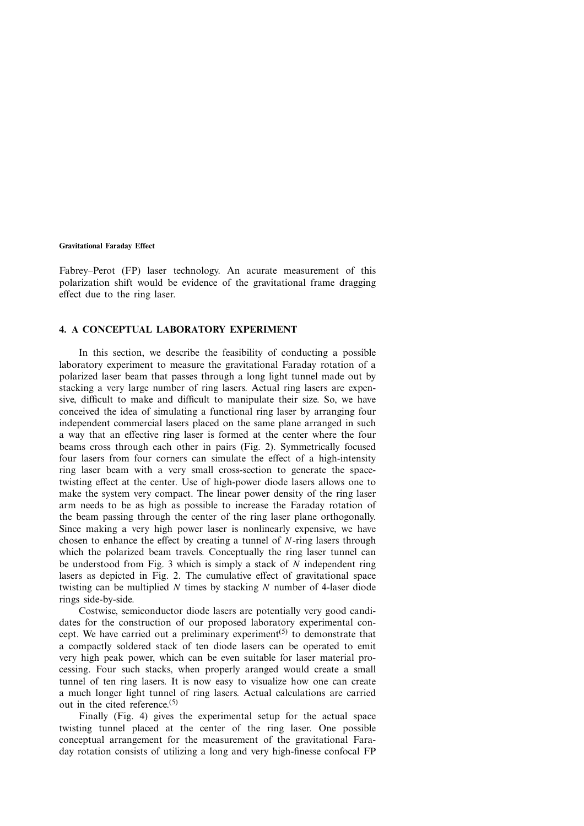Fabrey–Perot (FP) laser technology. An acurate measurement of this polarization shift would be evidence of the gravitational frame dragging effect due to the ring laser.

# **4. A CONCEPTUAL LABORATORY EXPERIMENT**

In this section, we describe the feasibility of conducting a possible laboratory experiment to measure the gravitational Faraday rotation of a polarized laser beam that passes through a long light tunnel made out by stacking a very large number of ring lasers. Actual ring lasers are expensive, difficult to make and difficult to manipulate their size. So, we have conceived the idea of simulating a functional ring laser by arranging four independent commercial lasers placed on the same plane arranged in such a way that an effective ring laser is formed at the center where the four beams cross through each other in pairs (Fig. 2). Symmetrically focused four lasers from four corners can simulate the effect of a high-intensity ring laser beam with a very small cross-section to generate the spacetwisting effect at the center. Use of high-power diode lasers allows one to make the system very compact. The linear power density of the ring laser arm needs to be as high as possible to increase the Faraday rotation of the beam passing through the center of the ring laser plane orthogonally. Since making a very high power laser is nonlinearly expensive, we have chosen to enhance the effect by creating a tunnel of  $N$ -ring lasers through which the polarized beam travels. Conceptually the ring laser tunnel can be understood from Fig. 3 which is simply a stack of  $N$  independent ring lasers as depicted in Fig. 2. The cumulative effect of gravitational space twisting can be multiplied  $N$  times by stacking  $N$  number of 4-laser diode rings side-by-side.

Costwise, semiconductor diode lasers are potentially very good candidates for the construction of our proposed laboratory experimental concept. We have carried out a preliminary experiment<sup>(5)</sup> to demonstrate that a compactly soldered stack of ten diode lasers can be operated to emit very high peak power, which can be even suitable for laser material processing. Four such stacks, when properly aranged would create a small tunnel of ten ring lasers. It is now easy to visualize how one can create a much longer light tunnel of ring lasers. Actual calculations are carried out in the cited reference. $(5)$ 

Finally (Fig. 4) gives the experimental setup for the actual space twisting tunnel placed at the center of the ring laser. One possible conceptual arrangement for the measurement of the gravitational Faraday rotation consists of utilizing a long and very high-finesse confocal FP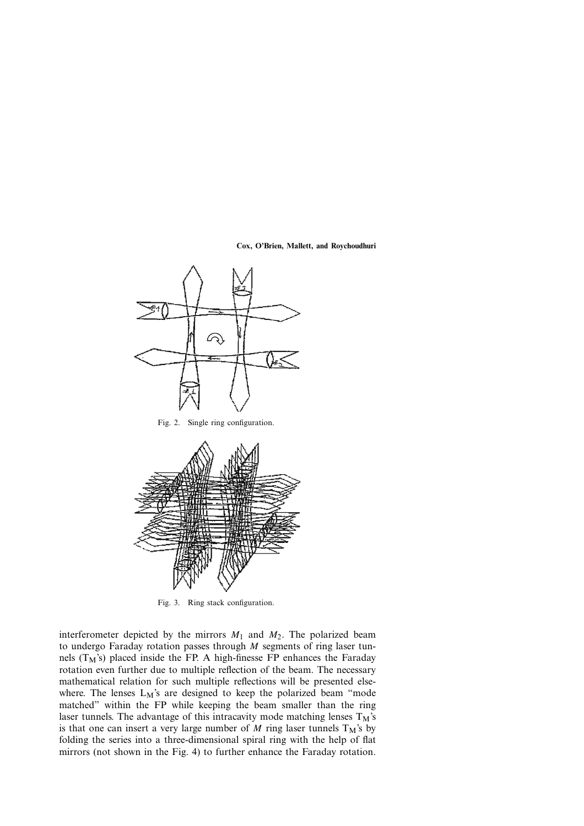

Fig. 2. Single ring configuration.



Fig. 3. Ring stack configuration.

interferometer depicted by the mirrors  $M_1$  and  $M_2$ . The polarized beam to undergo Faraday rotation passes through M segments of ring laser tunnels  $(T_M)$  placed inside the FP. A high-finesse FP enhances the Faraday rotation even further due to multiple reflection of the beam. The necessary mathematical relation for such multiple reflections will be presented elsewhere. The lenses  $L_M$ 's are designed to keep the polarized beam "mode matched" within the FP while keeping the beam smaller than the ring laser tunnels. The advantage of this intracavity mode matching lenses  $T_M$ 's is that one can insert a very large number of M ring laser tunnels  $T_M$ 's by folding the series into a three-dimensional spiral ring with the help of flat mirrors (not shown in the Fig. 4) to further enhance the Faraday rotation.